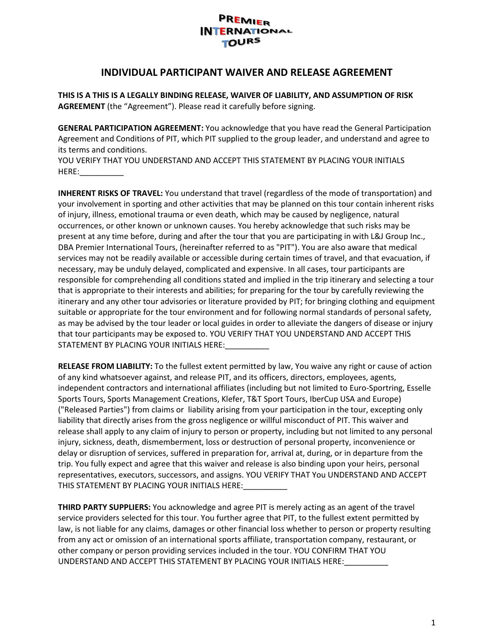# PREMIER **INTERNATIONAL TOURS**

#### **INDIVIDUAL PARTICIPANT WAIVER AND RELEASE AGREEMENT**

**THIS IS A THIS IS A LEGALLY BINDING RELEASE, WAIVER OF LIABILITY, AND ASSUMPTION OF RISK AGREEMENT** (the "Agreement"). Please read it carefully before signing.

**GENERAL PARTICIPATION AGREEMENT:** You acknowledge that you have read the General Participation Agreement and Conditions of PIT, which PIT supplied to the group leader, and understand and agree to its terms and conditions.

YOU VERIFY THAT YOU UNDERSTAND AND ACCEPT THIS STATEMENT BY PLACING YOUR INITIALS HERE:\_\_\_\_\_\_\_\_\_\_

**INHERENT RISKS OF TRAVEL:** You understand that travel (regardless of the mode of transportation) and your involvement in sporting and other activities that may be planned on this tour contain inherent risks of injury, illness, emotional trauma or even death, which may be caused by negligence, natural occurrences, or other known or unknown causes. You hereby acknowledge that such risks may be present at any time before, during and after the tour that you are participating in with L&J Group Inc., DBA Premier International Tours, (hereinafter referred to as "PIT"). You are also aware that medical services may not be readily available or accessible during certain times of travel, and that evacuation, if necessary, may be unduly delayed, complicated and expensive. In all cases, tour participants are responsible for comprehending all conditions stated and implied in the trip itinerary and selecting a tour that is appropriate to their interests and abilities; for preparing for the tour by carefully reviewing the itinerary and any other tour advisories or literature provided by PIT; for bringing clothing and equipment suitable or appropriate for the tour environment and for following normal standards of personal safety, as may be advised by the tour leader or local guides in order to alleviate the dangers of disease or injury that tour participants may be exposed to. YOU VERIFY THAT YOU UNDERSTAND AND ACCEPT THIS STATEMENT BY PLACING YOUR INITIALS HERE:

**RELEASE FROM LIABILITY:** To the fullest extent permitted by law, You waive any right or cause of action of any kind whatsoever against, and release PIT, and its officers, directors, employees, agents, independent contractors and international affiliates (including but not limited to Euro-Sportring, Esselle Sports Tours, Sports Management Creations, Klefer, T&T Sport Tours, IberCup USA and Europe) ("Released Parties") from claims or liability arising from your participation in the tour, excepting only liability that directly arises from the gross negligence or willful misconduct of PIT. This waiver and release shall apply to any claim of injury to person or property, including but not limited to any personal injury, sickness, death, dismemberment, loss or destruction of personal property, inconvenience or delay or disruption of services, suffered in preparation for, arrival at, during, or in departure from the trip. You fully expect and agree that this waiver and release is also binding upon your heirs, personal representatives, executors, successors, and assigns. YOU VERIFY THAT You UNDERSTAND AND ACCEPT THIS STATEMENT BY PLACING YOUR INITIALS HERE:

**THIRD PARTY SUPPLIERS:** You acknowledge and agree PIT is merely acting as an agent of the travel service providers selected for this tour. You further agree that PIT, to the fullest extent permitted by law, is not liable for any claims, damages or other financial loss whether to person or property resulting from any act or omission of an international sports affiliate, transportation company, restaurant, or other company or person providing services included in the tour. YOU CONFIRM THAT YOU UNDERSTAND AND ACCEPT THIS STATEMENT BY PLACING YOUR INITIALS HERE:\_\_\_\_\_\_\_\_\_\_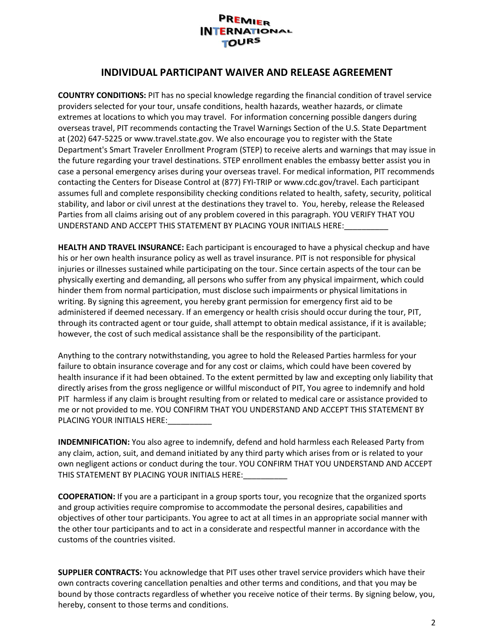### PREMIER **INTERNATIONAL TOURS**

# **INDIVIDUAL PARTICIPANT WAIVER AND RELEASE AGREEMENT**

**COUNTRY CONDITIONS:** PIT has no special knowledge regarding the financial condition of travel service providers selected for your tour, unsafe conditions, health hazards, weather hazards, or climate extremes at locations to which you may travel. For information concerning possible dangers during overseas travel, PIT recommends contacting the Travel Warnings Section of the U.S. State Department at (202) 647-5225 or www.travel.state.gov. We also encourage you to register with the State Department's Smart Traveler Enrollment Program (STEP) to receive alerts and warnings that may issue in the future regarding your travel destinations. STEP enrollment enables the embassy better assist you in case a personal emergency arises during your overseas travel. For medical information, PIT recommends contacting the Centers for Disease Control at (877) FYI-TRIP or www.cdc.gov/travel. Each participant assumes full and complete responsibility checking conditions related to health, safety, security, political stability, and labor or civil unrest at the destinations they travel to. You, hereby, release the Released Parties from all claims arising out of any problem covered in this paragraph. YOU VERIFY THAT YOU UNDERSTAND AND ACCEPT THIS STATEMENT BY PLACING YOUR INITIALS HERE:

**HEALTH AND TRAVEL INSURANCE:** Each participant is encouraged to have a physical checkup and have his or her own health insurance policy as well as travel insurance. PIT is not responsible for physical injuries or illnesses sustained while participating on the tour. Since certain aspects of the tour can be physically exerting and demanding, all persons who suffer from any physical impairment, which could hinder them from normal participation, must disclose such impairments or physical limitations in writing. By signing this agreement, you hereby grant permission for emergency first aid to be administered if deemed necessary. If an emergency or health crisis should occur during the tour, PIT, through its contracted agent or tour guide, shall attempt to obtain medical assistance, if it is available; however, the cost of such medical assistance shall be the responsibility of the participant.

Anything to the contrary notwithstanding, you agree to hold the Released Parties harmless for your failure to obtain insurance coverage and for any cost or claims, which could have been covered by health insurance if it had been obtained. To the extent permitted by law and excepting only liability that directly arises from the gross negligence or willful misconduct of PIT, You agree to indemnify and hold PIT harmless if any claim is brought resulting from or related to medical care or assistance provided to me or not provided to me. YOU CONFIRM THAT YOU UNDERSTAND AND ACCEPT THIS STATEMENT BY PLACING YOUR INITIALS HERE:

**INDEMNIFICATION:** You also agree to indemnify, defend and hold harmless each Released Party from any claim, action, suit, and demand initiated by any third party which arises from or is related to your own negligent actions or conduct during the tour. YOU CONFIRM THAT YOU UNDERSTAND AND ACCEPT THIS STATEMENT BY PLACING YOUR INITIALS HERE:

**COOPERATION:** If you are a participant in a group sports tour, you recognize that the organized sports and group activities require compromise to accommodate the personal desires, capabilities and objectives of other tour participants. You agree to act at all times in an appropriate social manner with the other tour participants and to act in a considerate and respectful manner in accordance with the customs of the countries visited.

**SUPPLIER CONTRACTS:** You acknowledge that PIT uses other travel service providers which have their own contracts covering cancellation penalties and other terms and conditions, and that you may be bound by those contracts regardless of whether you receive notice of their terms. By signing below, you, hereby, consent to those terms and conditions.